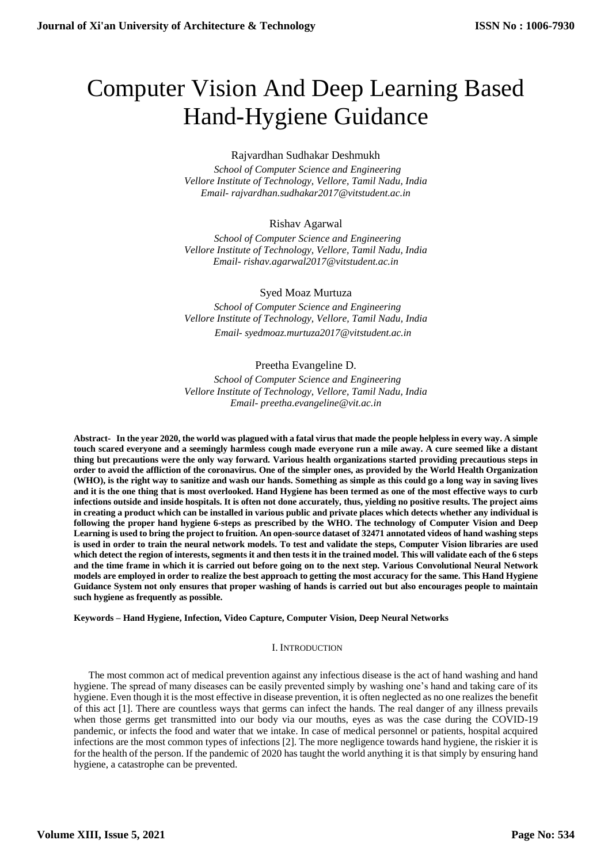# Computer Vision And Deep Learning Based Hand-Hygiene Guidance

## Rajvardhan Sudhakar Deshmukh

 *School of Computer Science and Engineering Vellore Institute of Technology, Vellore, Tamil Nadu, India Email- rajvardhan.sudhakar2017@vitstudent.ac.in* 

# Rishav Agarwal

 *School of Computer Science and Engineering Vellore Institute of Technology, Vellore, Tamil Nadu, India Email- rishav.agarwal2017@vitstudent.ac.in*

# Syed Moaz Murtuza

 *School of Computer Science and Engineering Vellore Institute of Technology, Vellore, Tamil Nadu, India Email- syedmoaz.murtuza2017@vitstudent.ac.in* 

# Preetha Evangeline D.

 *School of Computer Science and Engineering Vellore Institute of Technology, Vellore, Tamil Nadu, India Email- preetha.evangeline@vit.ac.in*

**Abstract- In the year 2020, the world was plagued with a fatal virus that made the people helpless in every way. A simple touch scared everyone and a seemingly harmless cough made everyone run a mile away. A cure seemed like a distant thing but precautions were the only way forward. Various health organizations started providing precautious steps in order to avoid the affliction of the coronavirus. One of the simpler ones, as provided by the World Health Organization (WHO), is the right way to sanitize and wash our hands. Something as simple as this could go a long way in saving lives and it is the one thing that is most overlooked. Hand Hygiene has been termed as one of the most effective ways to curb infections outside and inside hospitals. It is often not done accurately, thus, yielding no positive results. The project aims in creating a product which can be installed in various public and private places which detects whether any individual is following the proper hand hygiene 6-steps as prescribed by the WHO. The technology of Computer Vision and Deep Learning is used to bring the project to fruition. An open-source dataset of 32471 annotated videos of hand washing steps is used in order to train the neural network models. To test and validate the steps, Computer Vision libraries are used which detect the region of interests, segments it and then tests it in the trained model. This will validate each of the 6 steps and the time frame in which it is carried out before going on to the next step. Various Convolutional Neural Network models are employed in order to realize the best approach to getting the most accuracy for the same. This Hand Hygiene Guidance System not only ensures that proper washing of hands is carried out but also encourages people to maintain such hygiene as frequently as possible.**

## **Keywords – Hand Hygiene, Infection, Video Capture, Computer Vision, Deep Neural Networks**

## I. INTRODUCTION

The most common act of medical prevention against any infectious disease is the act of hand washing and hand hygiene. The spread of many diseases can be easily prevented simply by washing one's hand and taking care of its hygiene. Even though it is the most effective in disease prevention, it is often neglected as no one realizes the benefit of this act [1]. There are countless ways that germs can infect the hands. The real danger of any illness prevails when those germs get transmitted into our body via our mouths, eyes as was the case during the COVID-19 pandemic, or infects the food and water that we intake. In case of medical personnel or patients, hospital acquired infections are the most common types of infections [2]. The more negligence towards hand hygiene, the riskier it is for the health of the person. If the pandemic of 2020 has taught the world anything it is that simply by ensuring hand hygiene, a catastrophe can be prevented.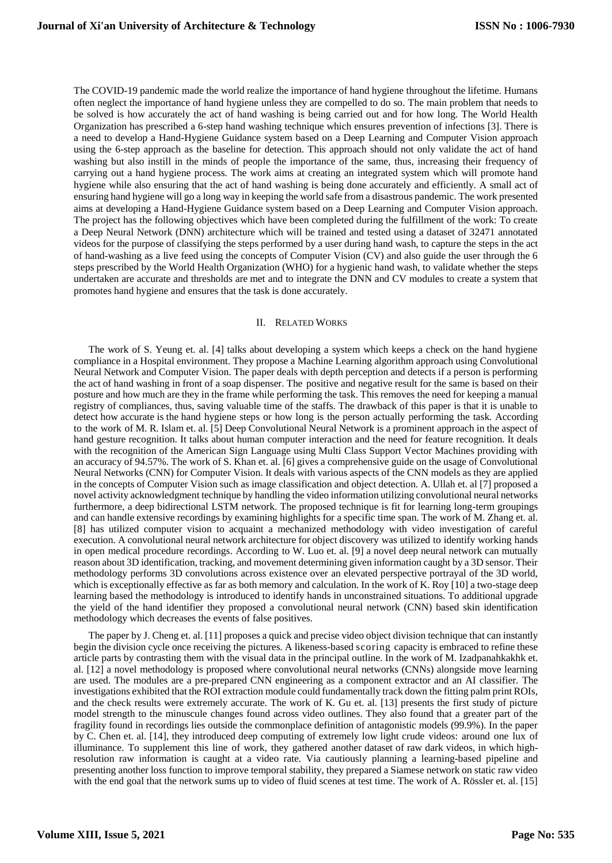The COVID-19 pandemic made the world realize the importance of hand hygiene throughout the lifetime. Humans often neglect the importance of hand hygiene unless they are compelled to do so. The main problem that needs to be solved is how accurately the act of hand washing is being carried out and for how long. The World Health Organization has prescribed a 6-step hand washing technique which ensures prevention of infections [3]. There is a need to develop a Hand-Hygiene Guidance system based on a Deep Learning and Computer Vision approach using the 6-step approach as the baseline for detection. This approach should not only validate the act of hand washing but also instill in the minds of people the importance of the same, thus, increasing their frequency of carrying out a hand hygiene process. The work aims at creating an integrated system which will promote hand hygiene while also ensuring that the act of hand washing is being done accurately and efficiently. A small act of ensuring hand hygiene will go a long way in keeping the world safe from a disastrous pandemic. The work presented aims at developing a Hand-Hygiene Guidance system based on a Deep Learning and Computer Vision approach. The project has the following objectives which have been completed during the fulfillment of the work: To create a Deep Neural Network (DNN) architecture which will be trained and tested using a dataset of 32471 annotated videos for the purpose of classifying the steps performed by a user during hand wash, to capture the steps in the act of hand-washing as a live feed using the concepts of Computer Vision (CV) and also guide the user through the 6 steps prescribed by the World Health Organization (WHO) for a hygienic hand wash, to validate whether the steps undertaken are accurate and thresholds are met and to integrate the DNN and CV modules to create a system that promotes hand hygiene and ensures that the task is done accurately.

#### II. RELATED WORKS

The work of S. Yeung et. al. [4] talks about developing a system which keeps a check on the hand hygiene compliance in a Hospital environment. They propose a Machine Learning algorithm approach using Convolutional Neural Network and Computer Vision. The paper deals with depth perception and detects if a person is performing the act of hand washing in front of a soap dispenser. The positive and negative result for the same is based on their posture and how much are they in the frame while performing the task. This removes the need for keeping a manual registry of compliances, thus, saving valuable time of the staffs. The drawback of this paper is that it is unable to detect how accurate is the hand hygiene steps or how long is the person actually performing the task. According to the work of M. R. Islam et. al. [5] Deep Convolutional Neural Network is a prominent approach in the aspect of hand gesture recognition. It talks about human computer interaction and the need for feature recognition. It deals with the recognition of the American Sign Language using Multi Class Support Vector Machines providing with an accuracy of 94.57%. The work of S. Khan et. al. [6] gives a comprehensive guide on the usage of Convolutional Neural Networks (CNN) for Computer Vision. It deals with various aspects of the CNN models as they are applied in the concepts of Computer Vision such as image classification and object detection. A. Ullah et. al [7] proposed a novel activity acknowledgment technique by handling the video information utilizing convolutional neural networks furthermore, a deep bidirectional LSTM network. The proposed technique is fit for learning long-term groupings and can handle extensive recordings by examining highlights for a specific time span. The work of M. Zhang et. al. [8] has utilized computer vision to acquaint a mechanized methodology with video investigation of careful execution. A convolutional neural network architecture for object discovery was utilized to identify working hands in open medical procedure recordings. According to W. Luo et. al. [9] a novel deep neural network can mutually reason about 3D identification, tracking, and movement determining given information caught by a 3D sensor. Their methodology performs 3D convolutions across existence over an elevated perspective portrayal of the 3D world, which is exceptionally effective as far as both memory and calculation. In the work of K. Roy [10] a two-stage deep learning based the methodology is introduced to identify hands in unconstrained situations. To additional upgrade the yield of the hand identifier they proposed a convolutional neural network (CNN) based skin identification methodology which decreases the events of false positives.

The paper by J. Cheng et. al. [11] proposes a quick and precise video object division technique that can instantly begin the division cycle once receiving the pictures. A likeness-based scoring capacity is embraced to refine these article parts by contrasting them with the visual data in the principal outline. In the work of M. Izadpanahkakhk et. al. [12] a novel methodology is proposed where convolutional neural networks (CNNs) alongside move learning are used. The modules are a pre-prepared CNN engineering as a component extractor and an AI classifier. The investigations exhibited that the ROI extraction module could fundamentally track down the fitting palm print ROIs, and the check results were extremely accurate. The work of K. Gu et. al. [13] presents the first study of picture model strength to the minuscule changes found across video outlines. They also found that a greater part of the fragility found in recordings lies outside the commonplace definition of antagonistic models (99.9%). In the paper by C. Chen et. al. [14], they introduced deep computing of extremely low light crude videos: around one lux of illuminance. To supplement this line of work, they gathered another dataset of raw dark videos, in which highresolution raw information is caught at a video rate. Via cautiously planning a learning-based pipeline and presenting another loss function to improve temporal stability, they prepared a Siamese network on static raw video with the end goal that the network sums up to video of fluid scenes at test time. The work of A. Rössler et. al. [15]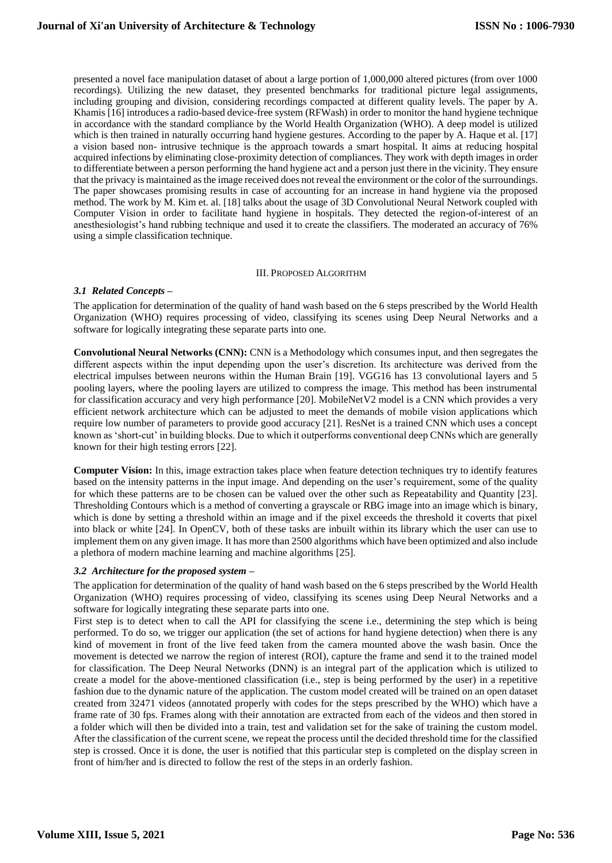presented a novel face manipulation dataset of about a large portion of 1,000,000 altered pictures (from over 1000 recordings). Utilizing the new dataset, they presented benchmarks for traditional picture legal assignments, including grouping and division, considering recordings compacted at different quality levels. The paper by A. Khamis [16] introduces a radio-based device-free system (RFWash) in order to monitor the hand hygiene technique in accordance with the standard compliance by the World Health Organization (WHO). A deep model is utilized which is then trained in naturally occurring hand hygiene gestures. According to the paper by A. Haque et al. [17] a vision based non- intrusive technique is the approach towards a smart hospital. It aims at reducing hospital acquired infections by eliminating close-proximity detection of compliances. They work with depth images in order to differentiate between a person performing the hand hygiene act and a person just there in the vicinity. They ensure that the privacy is maintained as the image received does not reveal the environment or the color of the surroundings. The paper showcases promising results in case of accounting for an increase in hand hygiene via the proposed method. The work by M. Kim et. al. [18] talks about the usage of 3D Convolutional Neural Network coupled with Computer Vision in order to facilitate hand hygiene in hospitals. They detected the region-of-interest of an anesthesiologist's hand rubbing technique and used it to create the classifiers. The moderated an accuracy of 76% using a simple classification technique.

#### III. PROPOSED ALGORITHM

## *3.1 Related Concepts –*

The application for determination of the quality of hand wash based on the 6 steps prescribed by the World Health Organization (WHO) requires processing of video, classifying its scenes using Deep Neural Networks and a software for logically integrating these separate parts into one.

**Convolutional Neural Networks (CNN):** CNN is a Methodology which consumes input, and then segregates the different aspects within the input depending upon the user's discretion. Its architecture was derived from the electrical impulses between neurons within the Human Brain [19]. VGG16 has 13 convolutional layers and 5 pooling layers, where the pooling layers are utilized to compress the image. This method has been instrumental for classification accuracy and very high performance [20]. MobileNetV2 model is a CNN which provides a very efficient network architecture which can be adjusted to meet the demands of mobile vision applications which require low number of parameters to provide good accuracy [21]. ResNet is a trained CNN which uses a concept known as 'short-cut' in building blocks. Due to which it outperforms conventional deep CNNs which are generally known for their high testing errors [22].

**Computer Vision:** In this, image extraction takes place when feature detection techniques try to identify features based on the intensity patterns in the input image. And depending on the user's requirement, some of the quality for which these patterns are to be chosen can be valued over the other such as Repeatability and Quantity [23]. Thresholding Contours which is a method of converting a grayscale or RBG image into an image which is binary, which is done by setting a threshold within an image and if the pixel exceeds the threshold it coverts that pixel into black or white [24]. In OpenCV, both of these tasks are inbuilt within its library which the user can use to implement them on any given image. It has more than 2500 algorithms which have been optimized and also include a plethora of modern machine learning and machine algorithms [25].

## *3.2 Architecture for the proposed system –*

The application for determination of the quality of hand wash based on the 6 steps prescribed by the World Health Organization (WHO) requires processing of video, classifying its scenes using Deep Neural Networks and a software for logically integrating these separate parts into one.

First step is to detect when to call the API for classifying the scene i.e., determining the step which is being performed. To do so, we trigger our application (the set of actions for hand hygiene detection) when there is any kind of movement in front of the live feed taken from the camera mounted above the wash basin. Once the movement is detected we narrow the region of interest (ROI), capture the frame and send it to the trained model for classification. The Deep Neural Networks (DNN) is an integral part of the application which is utilized to create a model for the above-mentioned classification (i.e., step is being performed by the user) in a repetitive fashion due to the dynamic nature of the application. The custom model created will be trained on an open dataset created from 32471 videos (annotated properly with codes for the steps prescribed by the WHO) which have a frame rate of 30 fps. Frames along with their annotation are extracted from each of the videos and then stored in a folder which will then be divided into a train, test and validation set for the sake of training the custom model. After the classification of the current scene, we repeat the process until the decided threshold time for the classified step is crossed. Once it is done, the user is notified that this particular step is completed on the display screen in front of him/her and is directed to follow the rest of the steps in an orderly fashion.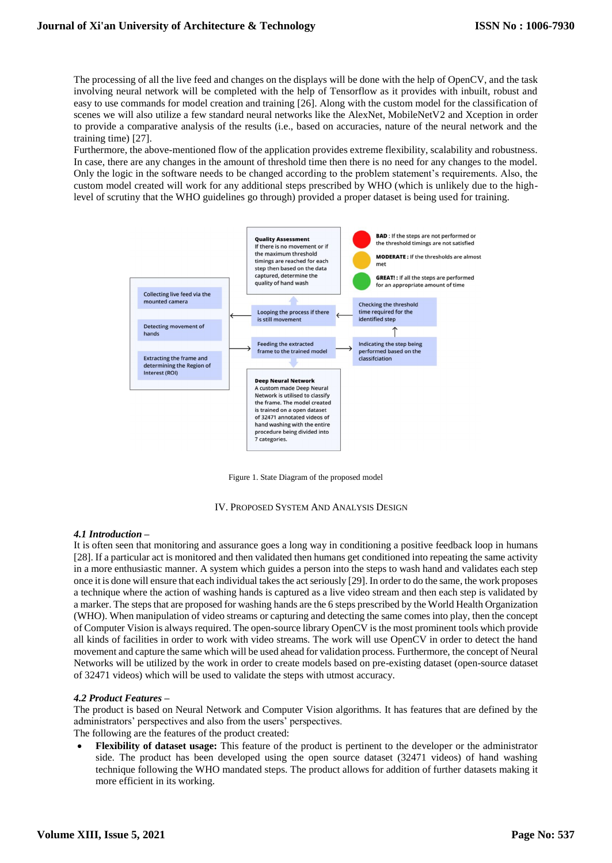The processing of all the live feed and changes on the displays will be done with the help of OpenCV, and the task involving neural network will be completed with the help of Tensorflow as it provides with inbuilt, robust and easy to use commands for model creation and training [26]. Along with the custom model for the classification of scenes we will also utilize a few standard neural networks like the AlexNet, MobileNetV2 and Xception in order to provide a comparative analysis of the results (i.e., based on accuracies, nature of the neural network and the training time) [27].

Furthermore, the above-mentioned flow of the application provides extreme flexibility, scalability and robustness. In case, there are any changes in the amount of threshold time then there is no need for any changes to the model. Only the logic in the software needs to be changed according to the problem statement's requirements. Also, the custom model created will work for any additional steps prescribed by WHO (which is unlikely due to the highlevel of scrutiny that the WHO guidelines go through) provided a proper dataset is being used for training.



Figure 1. State Diagram of the proposed model

IV. PROPOSED SYSTEM AND ANALYSIS DESIGN

#### *4.1 Introduction –*

It is often seen that monitoring and assurance goes a long way in conditioning a positive feedback loop in humans [28]. If a particular act is monitored and then validated then humans get conditioned into repeating the same activity in a more enthusiastic manner. A system which guides a person into the steps to wash hand and validates each step once it is done will ensure that each individual takes the act seriously [29]. In order to do the same, the work proposes a technique where the action of washing hands is captured as a live video stream and then each step is validated by a marker. The steps that are proposed for washing hands are the 6 steps prescribed by the World Health Organization (WHO). When manipulation of video streams or capturing and detecting the same comes into play, then the concept of Computer Vision is always required. The open-source library OpenCV is the most prominent tools which provide all kinds of facilities in order to work with video streams. The work will use OpenCV in order to detect the hand movement and capture the same which will be used ahead for validation process. Furthermore, the concept of Neural Networks will be utilized by the work in order to create models based on pre-existing dataset (open-source dataset of 32471 videos) which will be used to validate the steps with utmost accuracy.

## *4.2 Product Features –*

The product is based on Neural Network and Computer Vision algorithms. It has features that are defined by the administrators' perspectives and also from the users' perspectives. The following are the features of the product created:

 **Flexibility of dataset usage:** This feature of the product is pertinent to the developer or the administrator side. The product has been developed using the open source dataset (32471 videos) of hand washing technique following the WHO mandated steps. The product allows for addition of further datasets making it more efficient in its working.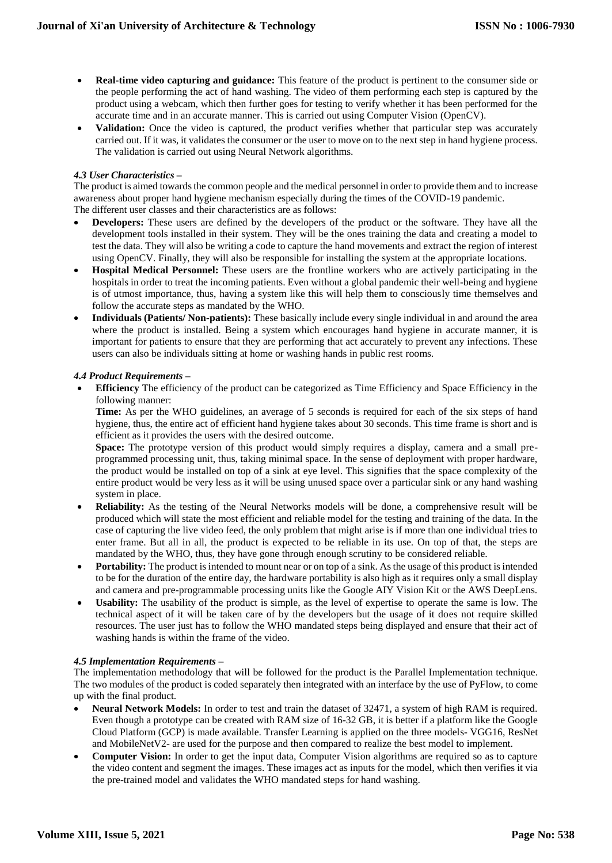- **Real-time video capturing and guidance:** This feature of the product is pertinent to the consumer side or the people performing the act of hand washing. The video of them performing each step is captured by the product using a webcam, which then further goes for testing to verify whether it has been performed for the accurate time and in an accurate manner. This is carried out using Computer Vision (OpenCV).
- **Validation:** Once the video is captured, the product verifies whether that particular step was accurately carried out. If it was, it validates the consumer or the user to move on to the next step in hand hygiene process. The validation is carried out using Neural Network algorithms.

## *4.3 User Characteristics –*

The product is aimed towards the common people and the medical personnel in order to provide them and to increase awareness about proper hand hygiene mechanism especially during the times of the COVID-19 pandemic. The different user classes and their characteristics are as follows:

- **Developers:** These users are defined by the developers of the product or the software. They have all the development tools installed in their system. They will be the ones training the data and creating a model to test the data. They will also be writing a code to capture the hand movements and extract the region of interest using OpenCV. Finally, they will also be responsible for installing the system at the appropriate locations.
- **Hospital Medical Personnel:** These users are the frontline workers who are actively participating in the hospitals in order to treat the incoming patients. Even without a global pandemic their well-being and hygiene is of utmost importance, thus, having a system like this will help them to consciously time themselves and follow the accurate steps as mandated by the WHO.
- **Individuals (Patients/ Non-patients):** These basically include every single individual in and around the area where the product is installed. Being a system which encourages hand hygiene in accurate manner, it is important for patients to ensure that they are performing that act accurately to prevent any infections. These users can also be individuals sitting at home or washing hands in public rest rooms.

## *4.4 Product Requirements –*

 **Efficiency** The efficiency of the product can be categorized as Time Efficiency and Space Efficiency in the following manner:

**Time:** As per the WHO guidelines, an average of 5 seconds is required for each of the six steps of hand hygiene, thus, the entire act of efficient hand hygiene takes about 30 seconds. This time frame is short and is efficient as it provides the users with the desired outcome.

**Space:** The prototype version of this product would simply requires a display, camera and a small preprogrammed processing unit, thus, taking minimal space. In the sense of deployment with proper hardware, the product would be installed on top of a sink at eye level. This signifies that the space complexity of the entire product would be very less as it will be using unused space over a particular sink or any hand washing system in place.

- **Reliability:** As the testing of the Neural Networks models will be done, a comprehensive result will be produced which will state the most efficient and reliable model for the testing and training of the data. In the case of capturing the live video feed, the only problem that might arise is if more than one individual tries to enter frame. But all in all, the product is expected to be reliable in its use. On top of that, the steps are mandated by the WHO, thus, they have gone through enough scrutiny to be considered reliable.
- **Portability:** The product is intended to mount near or on top of a sink. As the usage of this product is intended to be for the duration of the entire day, the hardware portability is also high as it requires only a small display and camera and pre-programmable processing units like the Google AIY Vision Kit or the AWS DeepLens.
- **Usability:** The usability of the product is simple, as the level of expertise to operate the same is low. The technical aspect of it will be taken care of by the developers but the usage of it does not require skilled resources. The user just has to follow the WHO mandated steps being displayed and ensure that their act of washing hands is within the frame of the video.

#### *4.5 Implementation Requirements –*

The implementation methodology that will be followed for the product is the Parallel Implementation technique. The two modules of the product is coded separately then integrated with an interface by the use of PyFlow, to come up with the final product.

- **Neural Network Models:** In order to test and train the dataset of 32471, a system of high RAM is required. Even though a prototype can be created with RAM size of 16-32 GB, it is better if a platform like the Google Cloud Platform (GCP) is made available. Transfer Learning is applied on the three models- VGG16, ResNet and MobileNetV2- are used for the purpose and then compared to realize the best model to implement.
- **Computer Vision:** In order to get the input data, Computer Vision algorithms are required so as to capture the video content and segment the images. These images act as inputs for the model, which then verifies it via the pre-trained model and validates the WHO mandated steps for hand washing.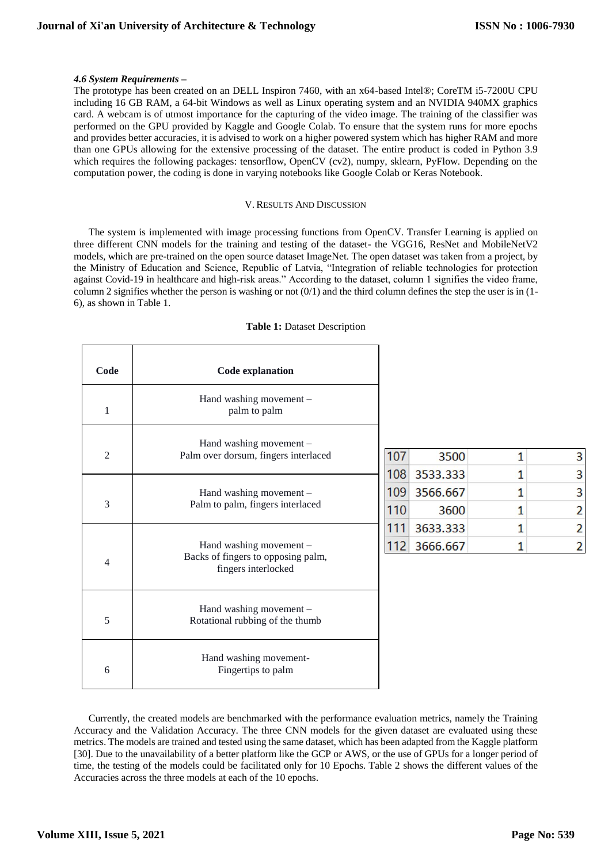#### *4.6 System Requirements –*

The prototype has been created on an DELL Inspiron 7460, with an x64-based Intel®; CoreTM i5-7200U CPU including 16 GB RAM, a 64-bit Windows as well as Linux operating system and an NVIDIA 940MX graphics card. A webcam is of utmost importance for the capturing of the video image. The training of the classifier was performed on the GPU provided by Kaggle and Google Colab. To ensure that the system runs for more epochs and provides better accuracies, it is advised to work on a higher powered system which has higher RAM and more than one GPUs allowing for the extensive processing of the dataset. The entire product is coded in Python 3.9 which requires the following packages: tensorflow, OpenCV (cv2), numpy, sklearn, PyFlow. Depending on the computation power, the coding is done in varying notebooks like Google Colab or Keras Notebook.

#### V. RESULTS AND DISCUSSION

The system is implemented with image processing functions from OpenCV. Transfer Learning is applied on three different CNN models for the training and testing of the dataset- the VGG16, ResNet and MobileNetV2 models, which are pre-trained on the open source dataset ImageNet. The open dataset was taken from a project, by the Ministry of Education and Science, Republic of Latvia, "Integration of reliable technologies for protection against Covid-19 in healthcare and high-risk areas." According to the dataset, column 1 signifies the video frame, column 2 signifies whether the person is washing or not  $(0/1)$  and the third column defines the step the user is in  $(1-$ 6), as shown in Table 1.

|  |  |  | <b>Table 1: Dataset Description</b> |
|--|--|--|-------------------------------------|
|--|--|--|-------------------------------------|

| Code           | <b>Code explanation</b>                                                              |
|----------------|--------------------------------------------------------------------------------------|
| 1              | Hand washing movement -<br>palm to palm                                              |
| $\overline{2}$ | Hand washing movement $-$<br>Palm over dorsum, fingers interlaced                    |
| 3              | Hand washing movement $-$<br>Palm to palm, fingers interlaced                        |
| 4              | Hand washing movement -<br>Backs of fingers to opposing palm,<br>fingers interlocked |
| 5              | Hand washing movement -<br>Rotational rubbing of the thumb                           |
| 6              | Hand washing movement-<br>Fingertips to palm                                         |

| 107 | 3500         |               |
|-----|--------------|---------------|
| 108 | 3533.333     | 3             |
| 109 | 3566.667     | 3             |
| 110 | 3600         | $\mathcal{P}$ |
|     | 3633.333     | $\mathcal{P}$ |
|     | 112 3666.667 |               |

Currently, the created models are benchmarked with the performance evaluation metrics, namely the Training Accuracy and the Validation Accuracy. The three CNN models for the given dataset are evaluated using these metrics. The models are trained and tested using the same dataset, which has been adapted from the Kaggle platform [30]. Due to the unavailability of a better platform like the GCP or AWS, or the use of GPUs for a longer period of time, the testing of the models could be facilitated only for 10 Epochs. Table 2 shows the different values of the Accuracies across the three models at each of the 10 epochs.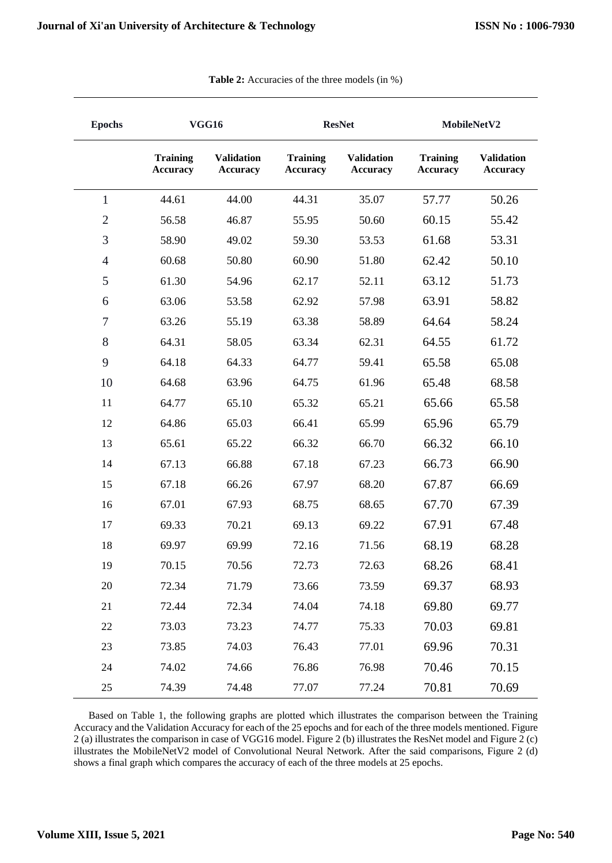| <b>Epochs</b>  | <b>VGG16</b>                       |                                      | <b>ResNet</b>                      |                                      | MobileNetV2                        |                                      |
|----------------|------------------------------------|--------------------------------------|------------------------------------|--------------------------------------|------------------------------------|--------------------------------------|
|                | <b>Training</b><br><b>Accuracy</b> | <b>Validation</b><br><b>Accuracy</b> | <b>Training</b><br><b>Accuracy</b> | <b>Validation</b><br><b>Accuracy</b> | <b>Training</b><br><b>Accuracy</b> | <b>Validation</b><br><b>Accuracy</b> |
| $\mathbf{1}$   | 44.61                              | 44.00                                | 44.31                              | 35.07                                | 57.77                              | 50.26                                |
| $\mathfrak{2}$ | 56.58                              | 46.87                                | 55.95                              | 50.60                                | 60.15                              | 55.42                                |
| 3              | 58.90                              | 49.02                                | 59.30                              | 53.53                                | 61.68                              | 53.31                                |
| $\overline{4}$ | 60.68                              | 50.80                                | 60.90                              | 51.80                                | 62.42                              | 50.10                                |
| 5              | 61.30                              | 54.96                                | 62.17                              | 52.11                                | 63.12                              | 51.73                                |
| 6              | 63.06                              | 53.58                                | 62.92                              | 57.98                                | 63.91                              | 58.82                                |
| $\tau$         | 63.26                              | 55.19                                | 63.38                              | 58.89                                | 64.64                              | 58.24                                |
| 8              | 64.31                              | 58.05                                | 63.34                              | 62.31                                | 64.55                              | 61.72                                |
| 9              | 64.18                              | 64.33                                | 64.77                              | 59.41                                | 65.58                              | 65.08                                |
| 10             | 64.68                              | 63.96                                | 64.75                              | 61.96                                | 65.48                              | 68.58                                |
| 11             | 64.77                              | 65.10                                | 65.32                              | 65.21                                | 65.66                              | 65.58                                |
| 12             | 64.86                              | 65.03                                | 66.41                              | 65.99                                | 65.96                              | 65.79                                |
| 13             | 65.61                              | 65.22                                | 66.32                              | 66.70                                | 66.32                              | 66.10                                |
| 14             | 67.13                              | 66.88                                | 67.18                              | 67.23                                | 66.73                              | 66.90                                |
| 15             | 67.18                              | 66.26                                | 67.97                              | 68.20                                | 67.87                              | 66.69                                |
| 16             | 67.01                              | 67.93                                | 68.75                              | 68.65                                | 67.70                              | 67.39                                |
| 17             | 69.33                              | 70.21                                | 69.13                              | 69.22                                | 67.91                              | 67.48                                |
| 18             | 69.97                              | 69.99                                | 72.16                              | 71.56                                | 68.19                              | 68.28                                |
| 19             | 70.15                              | 70.56                                | 72.73                              | 72.63                                | 68.26                              | 68.41                                |
| 20             | 72.34                              | 71.79                                | 73.66                              | 73.59                                | 69.37                              | 68.93                                |
| 21             | 72.44                              | 72.34                                | 74.04                              | 74.18                                | 69.80                              | 69.77                                |
| 22             | 73.03                              | 73.23                                | 74.77                              | 75.33                                | 70.03                              | 69.81                                |
| 23             | 73.85                              | 74.03                                | 76.43                              | 77.01                                | 69.96                              | 70.31                                |
| 24             | 74.02                              | 74.66                                | 76.86                              | 76.98                                | 70.46                              | 70.15                                |
| 25             | 74.39                              | 74.48                                | 77.07                              | 77.24                                | 70.81                              | 70.69                                |

| <b>Table 2:</b> Accuracies of the three models (in %) |  |  |  |
|-------------------------------------------------------|--|--|--|
|-------------------------------------------------------|--|--|--|

Based on Table 1, the following graphs are plotted which illustrates the comparison between the Training Accuracy and the Validation Accuracy for each of the 25 epochs and for each of the three models mentioned. Figure 2 (a) illustrates the comparison in case of VGG16 model. Figure 2 (b) illustrates the ResNet model and Figure 2 (c) illustrates the MobileNetV2 model of Convolutional Neural Network. After the said comparisons, Figure 2 (d) shows a final graph which compares the accuracy of each of the three models at 25 epochs.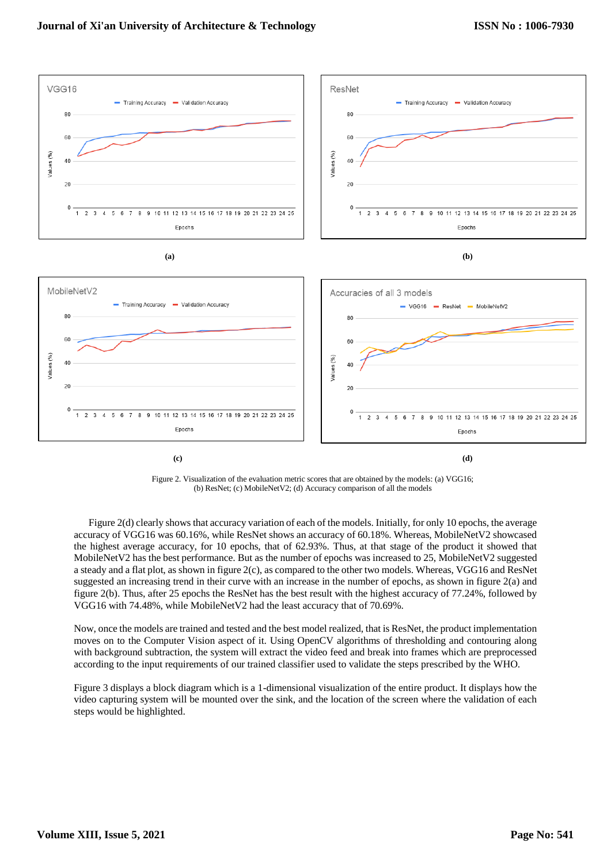

Figure 2. Visualization of the evaluation metric scores that are obtained by the models: (a) VGG16; (b) ResNet; (c) MobileNetV2; (d) Accuracy comparison of all the models

Figure 2(d) clearly shows that accuracy variation of each of the models. Initially, for only 10 epochs, the average accuracy of VGG16 was 60.16%, while ResNet shows an accuracy of 60.18%. Whereas, MobileNetV2 showcased the highest average accuracy, for 10 epochs, that of 62.93%. Thus, at that stage of the product it showed that MobileNetV2 has the best performance. But as the number of epochs was increased to 25, MobileNetV2 suggested a steady and a flat plot, as shown in figure 2(c), as compared to the other two models. Whereas, VGG16 and ResNet suggested an increasing trend in their curve with an increase in the number of epochs, as shown in figure 2(a) and figure 2(b). Thus, after 25 epochs the ResNet has the best result with the highest accuracy of 77.24%, followed by VGG16 with 74.48%, while MobileNetV2 had the least accuracy that of 70.69%.

Now, once the models are trained and tested and the best model realized, that is ResNet, the product implementation moves on to the Computer Vision aspect of it. Using OpenCV algorithms of thresholding and contouring along with background subtraction, the system will extract the video feed and break into frames which are preprocessed according to the input requirements of our trained classifier used to validate the steps prescribed by the WHO.

Figure 3 displays a block diagram which is a 1-dimensional visualization of the entire product. It displays how the video capturing system will be mounted over the sink, and the location of the screen where the validation of each steps would be highlighted.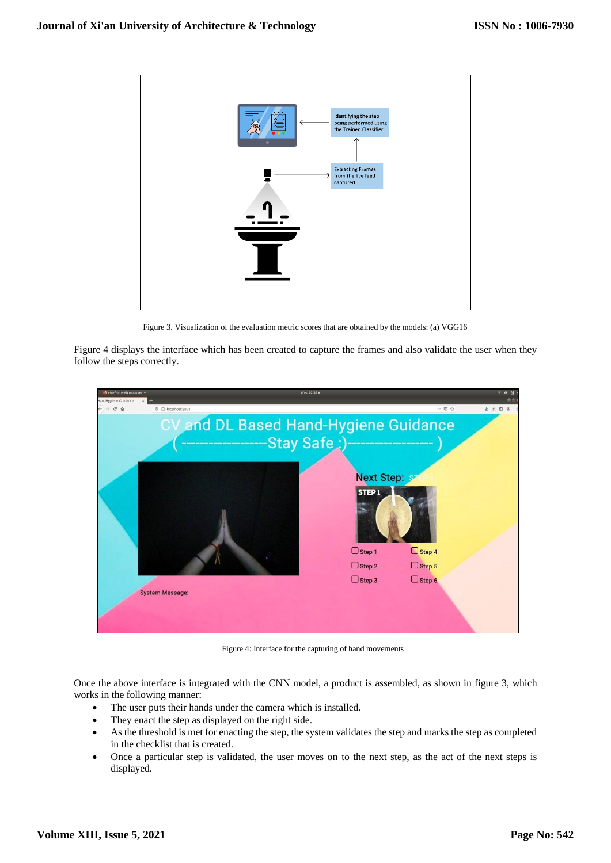

Figure 3. Visualization of the evaluation metric scores that are obtained by the models: (a) VGG16

Figure 4 displays the interface which has been created to capture the frames and also validate the user when they follow the steps correctly.



Figure 4: Interface for the capturing of hand movements

Once the above interface is integrated with the CNN model, a product is assembled, as shown in figure 3, which works in the following manner:

- The user puts their hands under the camera which is installed.
- They enact the step as displayed on the right side.
- As the threshold is met for enacting the step, the system validates the step and marks the step as completed in the checklist that is created.
- Once a particular step is validated, the user moves on to the next step, as the act of the next steps is displayed.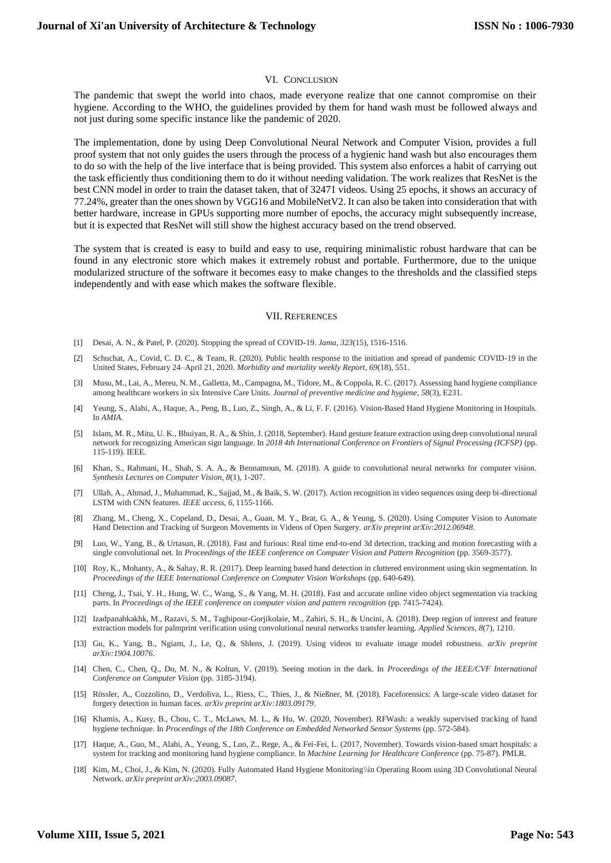#### VI. CONCLUSION

The pandemic that swept the world into chaos, made everyone realize that one cannot compromise on their hygiene. According to the WHO, the guidelines provided by them for hand wash must be followed always and not just during some specific instance like the pandemic of 2020.

The implementation, done by using Deep Convolutional Neural Network and Computer Vision, provides a full proof system that not only guides the users through the process of a hygienic hand wash but also encourages them to do so with the help of the live interface that is being provided. This system also enforces a habit of carrying out the task efficiently thus conditioning them to do it without needing validation. The work realizes that ResNet is the best CNN model in order to train the dataset taken, that of 32471 videos. Using 25 epochs, it shows an accuracy of 77.24%, greater than the ones shown by VGG16 and MobileNetV2. It can also be taken into consideration that with better hardware, increase in GPUs supporting more number of epochs, the accuracy might subsequently increase, but it is expected that ResNet will still show the highest accuracy based on the trend observed.

The system that is created is easy to build and easy to use, requiring minimalistic robust hardware that can be found in any electronic store which makes it extremely robust and portable. Furthermore, due to the unique modularized structure of the software it becomes easy to make changes to the thresholds and the classified steps independently and with ease which makes the software flexible.

#### VII. REFERENCES

- [1] Desai, A. N., & Patel, P. (2020). Stopping the spread of COVID-19. *Jama*, *323*(15), 1516-1516.
- [2] Schuchat, A., Covid, C. D. C., & Team, R. (2020). Public health response to the initiation and spread of pandemic COVID-19 in the United States, February 24–April 21, 2020. *Morbidity and mortality weekly Report*, *69*(18), 551.
- [3] Musu, M., Lai, A., Mereu, N. M., Galletta, M., Campagna, M., Tidore, M., & Coppola, R. C. (2017). Assessing hand hygiene compliance among healthcare workers in six Intensive Care Units. *Journal of preventive medicine and hygiene*, *58*(3), E231.
- [4] Yeung, S., Alahi, A., Haque, A., Peng, B., Luo, Z., Singh, A., & Li, F. F. (2016). Vision-Based Hand Hygiene Monitoring in Hospitals. In *AMIA*.
- [5] Islam, M. R., Mitu, U. K., Bhuiyan, R. A., & Shin, J. (2018, September). Hand gesture feature extraction using deep convolutional neural network for recognizing American sign language. In *2018 4th International Conference on Frontiers of Signal Processing (ICFSP)* (pp. 115-119). IEEE.
- [6] Khan, S., Rahmani, H., Shah, S. A. A., & Bennamoun, M. (2018). A guide to convolutional neural networks for computer vision. *Synthesis Lectures on Computer Vision*, *8*(1), 1-207.
- [7] Ullah, A., Ahmad, J., Muhammad, K., Sajjad, M., & Baik, S. W. (2017). Action recognition in video sequences using deep bi-directional LSTM with CNN features. *IEEE access*, *6*, 1155-1166.
- [8] Zhang, M., Cheng, X., Copeland, D., Desai, A., Guan, M. Y., Brat, G. A., & Yeung, S. (2020). Using Computer Vision to Automate Hand Detection and Tracking of Surgeon Movements in Videos of Open Surgery. *arXiv preprint arXiv:2012.06948*.
- [9] Luo, W., Yang, B., & Urtasun, R. (2018). Fast and furious: Real time end-to-end 3d detection, tracking and motion forecasting with a single convolutional net. In *Proceedings of the IEEE conference on Computer Vision and Pattern Recognition* (pp. 3569-3577).
- [10] Roy, K., Mohanty, A., & Sahay, R. R. (2017). Deep learning based hand detection in cluttered environment using skin segmentation. In *Proceedings of the IEEE International Conference on Computer Vision Workshops* (pp. 640-649).
- [11] Cheng, J., Tsai, Y. H., Hung, W. C., Wang, S., & Yang, M. H. (2018). Fast and accurate online video object segmentation via tracking parts. In *Proceedings of the IEEE conference on computer vision and pattern recognition* (pp. 7415-7424).
- [12] Izadpanahkakhk, M., Razavi, S. M., Taghipour-Gorjikolaie, M., Zahiri, S. H., & Uncini, A. (2018). Deep region of interest and feature extraction models for palmprint verification using convolutional neural networks transfer learning. *Applied Sciences*, *8*(7), 1210.
- [13] Gu, K., Yang, B., Ngiam, J., Le, Q., & Shlens, J. (2019). Using videos to evaluate image model robustness. *arXiv preprint arXiv:1904.10076*.
- [14] Chen, C., Chen, Q., Do, M. N., & Koltun, V. (2019). Seeing motion in the dark. In *Proceedings of the IEEE/CVF International Conference on Computer Vision* (pp. 3185-3194).
- [15] Rössler, A., Cozzolino, D., Verdoliva, L., Riess, C., Thies, J., & Nießner, M. (2018). Faceforensics: A large-scale video dataset for forgery detection in human faces. *arXiv preprint arXiv:1803.09179*.
- [16] Khamis, A., Kusy, B., Chou, C. T., McLaws, M. L., & Hu, W. (2020, November). RFWash: a weakly supervised tracking of hand hygiene technique. In *Proceedings of the 18th Conference on Embedded Networked Sensor Systems* (pp. 572-584).
- [17] Haque, A., Guo, M., Alahi, A., Yeung, S., Luo, Z., Rege, A., & Fei-Fei, L. (2017, November). Towards vision-based smart hospitals: a system for tracking and monitoring hand hygiene compliance. In *Machine Learning for Healthcare Conference* (pp. 75-87). PMLR.
- [18] Kim, M., Choi, J., & Kim, N. (2020). Fully Automated Hand Hygiene Monitoring\\in Operating Room using 3D Convolutional Neural Network. *arXiv preprint arXiv:2003.09087*.